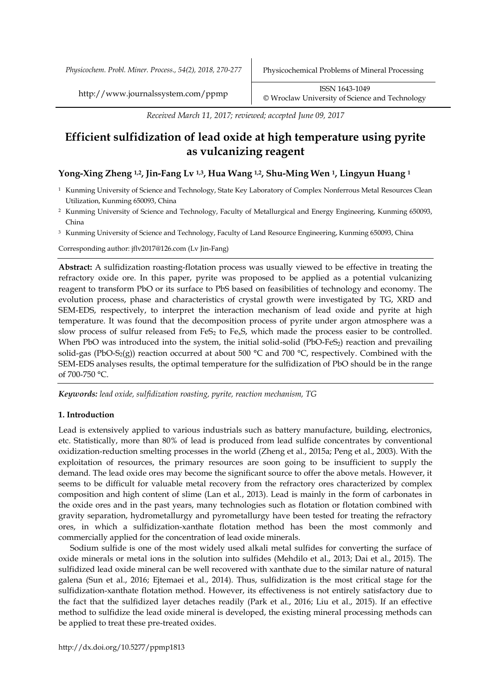*Received March 11, 2017; reviewed; accepted June 09, 2017*

# **Efficient sulfidization of lead oxide at high temperature using pyrite as vulcanizing reagent**

# **Yong-Xing Zheng 1,2, Jin-Fang Lv 1,3, Hua Wang 1,2, Shu-Ming Wen 1, Lingyun Huang <sup>1</sup>**

- <sup>1</sup> Kunming University of Science and Technology, State Key Laboratory of Complex Nonferrous Metal Resources Clean Utilization, Kunming 650093, China
- <sup>2</sup> Kunming University of Science and Technology, Faculty of Metallurgical and Energy Engineering, Kunming 650093, China
- <sup>3</sup> Kunming University of Science and Technology, Faculty of Land Resource Engineering, Kunming 650093, China

Corresponding author: jflv2017@126.com (Lv Jin-Fang)

**Abstract:** A sulfidization roasting-flotation process was usually viewed to be effective in treating the refractory oxide ore. In this paper, pyrite was proposed to be applied as a potential vulcanizing reagent to transform PbO or its surface to PbS based on feasibilities of technology and economy. The evolution process, phase and characteristics of crystal growth were investigated by TG, XRD and SEM-EDS, respectively, to interpret the interaction mechanism of lead oxide and pyrite at high temperature. It was found that the decomposition process of pyrite under argon atmosphere was a slow process of sulfur released from FeS<sub>2</sub> to Fe<sub>x</sub>S, which made the process easier to be controlled. When PbO was introduced into the system, the initial solid-solid (PbO-FeS<sub>2</sub>) reaction and prevailing solid-gas (PbO-S<sub>2</sub>(g)) reaction occurred at about 500  $^{\circ}$ C and 700  $^{\circ}$ C, respectively. Combined with the SEM-EDS analyses results, the optimal temperature for the sulfidization of PbO should be in the range of 700-750 °C.

*Keywords: lead oxide, sulfidization roasting, pyrite, reaction mechanism, TG*

# **1. Introduction**

Lead is extensively applied to various industrials such as battery manufacture, building, electronics, etc. Statistically, more than 80% of lead is produced from lead sulfide concentrates by conventional [oxidization-](javascript:void(0);)reduction smelting processes in the world (Zheng et al., 2015a; Peng et al., 2003). With the exploitation of resources, the primary resources are soon going to be insufficient to supply the demand. The lead oxide ores may become the significant source to offer the above metals. However, it seems to be difficult for valuable metal recovery from the refractory ores characterized by complex composition and high content of slime (Lan et al., 2013). Lead is mainly in the form of carbonates in the oxide ores and in the past years, many technologies such as flotation or flotation combined with gravity separation, hydrometallurgy and pyrometallurgy have been tested for treating the refractory ores, in which a sulfidization-xanthate flotation method has been the most commonly and commercially applied for the concentration of lead oxide minerals.

Sodium sulfide is one of the most widely used alkali metal sulfides for converting the surface of oxide minerals or metal ions in the solution into sulfides (Mehdilo et al., 2013; Dai et al., 2015). The sulfidized lead oxide mineral can be well recovered with xanthate due to the similar nature of natural galena (Sun et al., 2016; Ejtemaei et al., 2014). Thus, sulfidization is the most critical stage for the sulfidization-xanthate flotation method. However, its effectiveness is not entirely satisfactory due to the fact that the sulfidized layer detaches readily (Park et al., 2016; Liu et al., 2015). If an effective method to sulfidize the lead oxide mineral is developed, the existing mineral processing methods can be applied to treat these pre-treated oxides.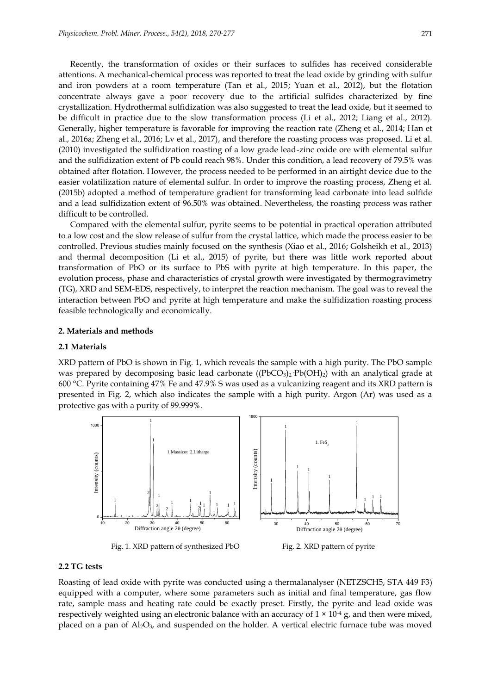Recently, the transformation of oxides or their surfaces to sulfides has received considerable attentions. A mechanical-chemical process was reported to treat the lead oxide by grinding with sulfur and iron powders at a room temperature (Tan et al., 2015; Yuan et al., 2012), but the flotation concentrate always gave a poor recovery due to the artificial sulfides characterized by fine crystallization. Hydrothermal sulfidization was also suggested to treat the lead oxide, but it seemed to be difficult in practice due to the slow transformation process (Li et al., 2012; Liang et al., 2012). Generally, higher temperature is favorable for improving the reaction rate (Zheng et al., 2014; Han et al., 2016a; Zheng et al., 2016; Lv et al., 2017), and therefore the roasting process was proposed. Li et al. (2010) investigated the sulfidization roasting of a low grade lead-zinc oxide ore with elemental sulfur and the sulfidization extent of Pb could reach 98%. Under this condition, a lead recovery of 79.5% was obtained after flotation. However, the process needed to be performed in an airtight device due to the easier volatilization nature of elemental sulfur. In order to improve the roasting process, Zheng et al. (2015b) adopted a method of temperature gradient for transforming lead carbonate into lead sulfide and a lead sulfidization extent of 96.50% was obtained. Nevertheless, the roasting process was rather difficult to be controlled.

Compared with the elemental sulfur, pyrite seems to be potential in practical operation attributed to a low cost and the slow release of sulfur from the crystal lattice, which made the process easier to be controlled. Previous studies mainly focused on the synthesis (Xiao et al., 2016; Golsheikh et al., 2013) and thermal decomposition (Li et al., 2015) of pyrite, but there was little work reported about transformation of PbO or its surface to PbS with pyrite at high temperature. In this paper, the evolution process, phase and characteristics of crystal growth were investigated by thermogravimetry (TG), XRD and SEM-EDS, respectively, to interpret the reaction mechanism. The goal was to reveal the interaction between PbO and pyrite at high temperature and make the sulfidization roasting process feasible technologically and economically.

#### **2. Materials and methods**

#### **2.1 Materials**

XRD pattern of PbO is shown in Fig. 1, which reveals the sample with a high purity. The PbO sample was prepared by decomposing basic lead carbonate ( $(PbCO<sub>3</sub>)<sub>2</sub> Pb(OH)<sub>2</sub>$ ) with an analytical grade at 600 °C. Pyrite containing 47% Fe and 47.9% S was used as a vulcanizing reagent and its XRD pattern is presented in Fig. 2, which also indicates the sample with a high purity. Argon (Ar) was used as a protective gas with a purity of 99.999%.



Fig. 1. XRD pattern of synthesized PbO Fig. 2. XRD pattern of pyrite

### **2.2 TG tests**

Roasting of lead oxide with pyrite was conducted using a thermalanalyser (NETZSCH5, STA 449 F3) equipped with a computer, where some parameters such as initial and final temperature, gas flow rate, sample mass and heating rate could be exactly preset. Firstly, the pyrite and lead oxide was respectively weighted using an electronic balance with an accuracy of  $1 \times 10^{-4}$  g, and then were mixed, placed on a pan of Al2O3, and suspended on the holder. A vertical electric furnace tube was moved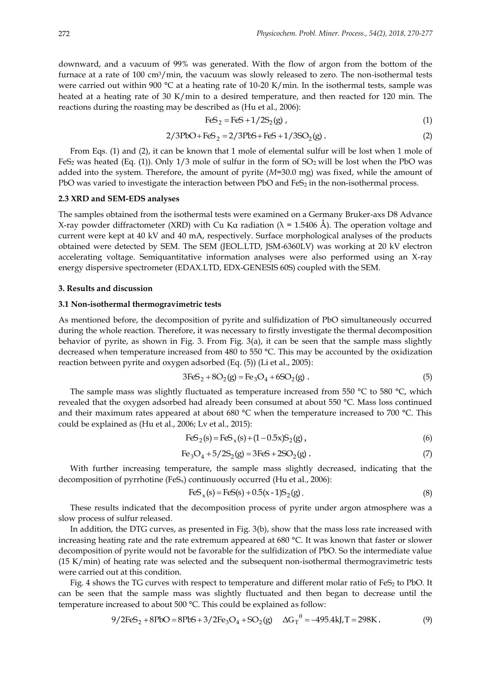downward, and a vacuum of 99% was generated. With the flow of argon from the bottom of the furnace at a rate of 100 cm3/min, the vacuum was slowly released to zero. The non-isothermal tests were carried out within 900 °C at a heating rate of 10-20 K/min. In the isothermal tests, sample was heated at a heating rate of 30 K/min to a desired temperature, and then reacted for 120 min. The reactions during the roasting may be described as (Hu et al., 2006):

$$
\text{FeS}_2 = \text{FeS} + 1/2\text{S}_2(g) \tag{1}
$$

$$
2/3PbO + FeS_2 = 2/3PbS + FeS + 1/3SO_2(g)
$$
 (2)

From Eqs. (1) and (2), it can be known that 1 mole of elemental sulfur will be lost when 1 mole of FeS<sub>2</sub> was heated (Eq. (1)). Only  $1/3$  mole of sulfur in the form of SO<sub>2</sub> will be lost when the PbO was added into the system. Therefore, the amount of pyrite (*M*=30.0 mg) was fixed, while the amount of PbO was varied to investigate the interaction between PbO and  $FeS<sub>2</sub>$  in the non-isothermal process.

#### **2.3 XRD and SEM-EDS analyses**

The samples obtained from the isothermal tests were examined on a Germany Bruker-axs D8 Advance X-ray powder diffractometer (XRD) with Cu Ka radiation ( $\lambda$  = 1.5406 Å). The operation voltage and current were kept at 40 kV and 40 mA, respectively. Surface morphological analyses of the products obtained were detected by SEM. The SEM (JEOL.LTD, JSM-6360LV) was working at 20 kV electron accelerating voltage. [Semiquantitative](app:ds:semiquantitative) information analyses were also performed using an X-ray energy dispersive spectrometer (EDAX.LTD, EDX-GENESIS 60S) coupled with the SEM.

#### **3. Results and discussion**

#### **3.1 Non-isothermal thermogravimetric tests**

As mentioned before, the decomposition of pyrite and sulfidization of PbO simultaneously occurred during the whole reaction. Therefore, it was necessary to firstly investigate the thermal decomposition behavior of pyrite, as shown in Fig. 3. From Fig. 3(a), it can be seen that the sample mass slightly decreased when temperature increased from 480 to 550 °C. This may be accounted by the oxidization reaction between pyrite and oxygen adsorbed (Eq. (5)) (Li et al., 2005):

$$
3FeS_2 + 8O_2(g) = Fe_3O_4 + 6SO_2(g)
$$
 (5)

The sample mass was slightly fluctuated as temperature increased from 550 °C to 580 °C, which revealed that the oxygen adsorbed had already been consumed at about 550 °C. Mass loss continued and their maximum rates appeared at about 680 °C when the temperature increased to 700 °C. This could be explained as (Hu et al., 2006; Lv et al., 2015):

$$
FeS_2(s) = FeS_x(s) + (1 - 0.5x)S_2(g),
$$
\n(6)

$$
Fe_3O_4 + 5/2S_2(g) = 3FeS + 2SO_2(g)
$$
 (7)

With further increasing temperature, the sample mass slightly decreased, indicating that the decomposition of pyrrhotine (FeS<sub>x</sub>) continuously occurred (Hu et al., 2006):

$$
FeS_x(s) = FeS(s) + 0.5(x - 1)S_2(g).
$$
 (8)

These results indicated that the decomposition process of pyrite under argon atmosphere was a slow process of sulfur released.

In addition, the DTG curves, as presented in Fig. 3(b), show that the mass loss rate increased with increasing heating rate and the rate extremum appeared at 680 °C. It was known that faster or slower decomposition of pyrite would not be favorable for the sulfidization of PbO. So the intermediate value (15 K/min) of heating rate was selected and the subsequent non-isothermal thermogravimetric tests were carried out at this condition.

Fig. 4 shows the TG curves with respect to temperature and different molar ratio of  $FeS<sub>2</sub>$  to PbO. It can be seen that the sample mass was slightly fluctuated and then began to decrease until the temperature increased to about 500 °C. This could be explained as follow:

$$
9/2FeS_2 + 8PbO = 8PbS + 3/2Fe_3O_4 + SO_2(g) \quad \Delta G_T^{\theta} = -495.4 \text{kJ}, T = 298 \text{K}. \tag{9}
$$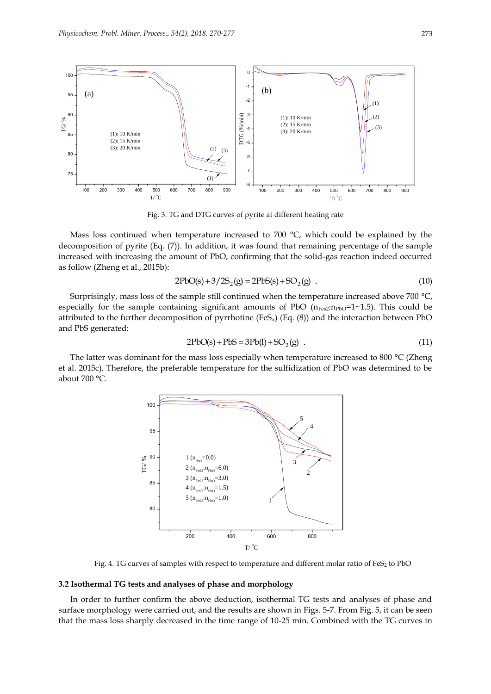

Fig. 3. TG and DTG curves of pyrite at different heating rate

Mass loss continued when temperature increased to 700  $^{\circ}$ C, which could be explained by the decomposition of pyrite (Eq. (7)). In addition, it was found that remaining percentage of the sample increased with increasing the amount of PbO, confirming that the solid-gas reaction indeed occurred as follow (Zheng et al., 2015b):

$$
2PbO(s) + 3/2S_2(g) = 2PbS(s) + SO_2(g) .
$$
\n(10)

Surprisingly, mass loss of the sample still continued when the temperature increased above 700 °C, especially for the sample containing significant amounts of PbO  $(n_{\text{Fe2}}:n_{\text{Pb0}}=1~1.5)$ . This could be attributed to the further decomposition of pyrrhotine (FeS<sub>x</sub>) (Eq.  $(8)$ ) and the interaction between PbO and PbS generated:

$$
2PbO(s) + PbS = 3Pb(l) + SO2(g)
$$
 (11)

The latter was dominant for the mass loss especially when temperature increased to 800 °C (Zheng et al. 2015c). Therefore, the preferable temperature for the sulfidization of PbO was determined to be about 700 °C.



Fig. 4. TG curves of samples with respect to temperature and different molar ratio of FeS<sub>2</sub> to PbO

## **3.2 Isothermal TG tests and analyses of phase and morphology**

In order to further confirm the above deduction, isothermal TG tests and analyses of phase and surface morphology were carried out, and the results are shown in Figs. 5-7. From Fig. 5, it can be seen that the mass loss sharply decreased in the time range of 10-25 min. Combined with the TG curves in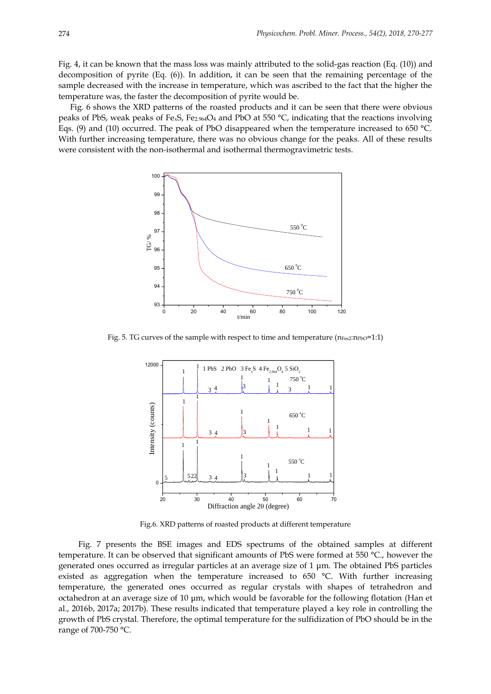Fig. 4, it can be known that the mass loss was mainly attributed to the solid-gas reaction (Eq. (10)) and decomposition of pyrite (Eq. (6)). In addition, it can be seen that the remaining percentage of the sample decreased with the increase in temperature, which was ascribed to the fact that the higher the temperature was, the faster the decomposition of pyrite would be.

Fig. 6 shows the XRD patterns of the roasted products and it can be seen that there were obvious peaks of PbS, weak peaks of Fe<sub>x</sub>S, Fe<sub>2.964</sub>O<sub>4</sub> and PbO at 550  $^{\circ}$ C, indicating that the reactions involving Eqs. (9) and (10) occurred. The peak of PbO disappeared when the temperature increased to 650 °C. With further increasing temperature, there was no obvious change for the peaks. All of these results were consistent with the non-isothermal and isothermal thermogravimetric tests.



Fig. 5. TG curves of the sample with respect to time and temperature  $(n_{Fes2}:n_{PbO}=1:1)$ 



Fig.6. XRD patterns of roasted products at different temperature

Fig. 7 presents the BSE images and EDS spectrums of the obtained samples at different temperature. It can be observed that significant amounts of PbS were formed at 550 °C., however the generated ones occurred as irregular particles at an average size of 1 μm. The obtained PbS particles existed as aggregation when the temperature increased to 650 °C. With further increasing temperature, the generated ones occurred as regular crystals with shapes of tetrahedron and octahedron at an average size of 10 μm, which would be favorable for the following flotation (Han et al., 2016b, 2017a; 2017b). These results indicated that temperature played a key role in controlling the growth of PbS crystal. Therefore, the optimal temperature for the sulfidization of PbO should be in the range of 700-750 °C.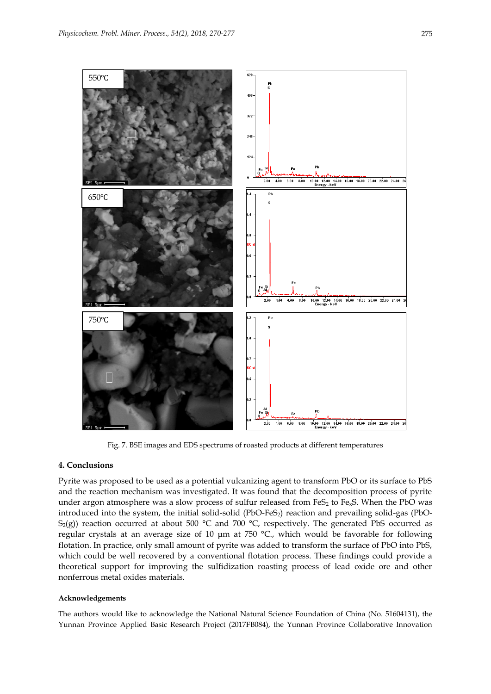

Fig. 7. BSE images and EDS spectrums of roasted products at different temperatures

# **4. Conclusions**

Pyrite was proposed to be used as a potential vulcanizing agent to transform PbO or its surface to PbS and the reaction mechanism was investigated. It was found that the decomposition process of pyrite under argon atmosphere was a slow process of sulfur released from  $FeS<sub>2</sub>$  to  $Fe<sub>x</sub>S$ . When the PbO was introduced into the system, the initial solid-solid (PbO-FeS<sub>2</sub>) reaction and prevailing solid-gas (PbO-S<sub>2</sub>(g)) reaction occurred at about 500 °C and 700 °C, respectively. The generated PbS occurred as regular crystals at an average size of 10 μm at 750 °C., which would be favorable for following flotation. In practice, only small amount of pyrite was added to transform the surface of PbO into PbS, which could be well recovered by a conventional flotation process. These findings could provide a theoretical support for improving the sulfidization roasting process of lead oxide ore and other nonferrous metal oxides materials.

## **Acknowledgements**

The authors would like to acknowledge the National Natural Science Foundation of China (No. 51604131), the Yunnan Province Applied Basic Research Project (2017FB084), the Yunnan Province Collaborative Innovation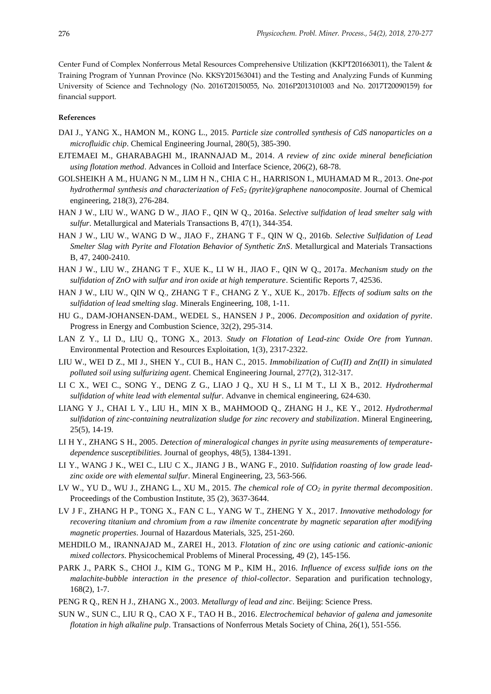Center Fund of Complex Nonferrous Metal Resources Comprehensive Utilization (KKPT201663011), the Talent & Training Program of Yunnan Province (No. KKSY201563041) and the Testing and Analyzing Funds of Kunming University of Science and Technology (No. 2016T20150055, No. 2016P2013101003 and No. 2017T20090159) for financial support.

#### **References**

- DAI J., YANG X., HAMON M., KONG L., 2015. *Particle size controlled synthesis of CdS nanoparticles on a microfluidic chip*. Chemical Engineering Journal, 280(5), 385-390.
- EJTEMAEI M., GHARABAGHI M., IRANNAJAD M., 2014. *A review of zinc oxide mineral beneficiation using flotation method*. Advances in Colloid and Interface Science, 206(2), 68-78.
- GOLSHEIKH A M., HUANG N M., LIM H N., CHIA C H., HARRISON I., MUHAMAD M R., 2013. *One-pot hydrothermal synthesis and characterization of FeS<sup>2</sup> (pyrite)/graphene nanocomposite*. Journal of Chemical engineering, 218(3), 276-284.
- HAN J W., LIU W., WANG D W., JIAO F., QIN W Q., 2016a. *Selective sulfidation of lead smelter salg with sulfur*. Metallurgical and Materials Transactions B, 47(1), 344-354.
- HAN J W., LIU W., WANG D W., JIAO F., ZHANG T F., QIN W Q., 2016b. *Selective Sulfidation of Lead Smelter Slag with Pyrite and Flotation Behavior of Synthetic ZnS*. Metallurgical and Materials Transactions B, 47, 2400-2410.
- HAN J W., LIU W., ZHANG T F., XUE K., LI W H., JIAO F., QIN W Q., 2017a. *Mechanism study on the sulfidation of ZnO with sulfur and iron oxide at high temperature*. Scientific Reports 7, 42536.
- HAN J W., LIU W., QIN W Q., ZHANG T F., CHANG Z Y., XUE K., 2017b. *Effects of sodium salts on the sulfidation of lead smelting slag*. Minerals Engineering, 108, 1-11.
- HU G., DAM-JOHANSEN-DAM., WEDEL S., HANSEN J P., 2006. *Decomposition and oxidation of pyrite*. Progress in Energy and Combustion Science, 32(2), 295-314.
- LAN Z Y., LI D., LIU Q., TONG X., 2013. *Study on Flotation of Lead-zinc Oxide Ore from Yunnan*. Environmental Protection and Resources Exploitation, 1(3), 2317-2322.
- LIU W., WEI D Z., MI J., SHEN Y., CUI B., HAN C., 2015. *Immobilization of Cu(II) and Zn(II) in simulated polluted soil using sulfurizing agent*. Chemical Engineering Journal, 277(2), 312-317.
- LI C X., WEI C., SONG Y., DENG Z G., LIAO J Q., XU H S., LI M T., LI X B., 2012. *Hydrothermal sulfidation of white lead with elemental sulfur*. Advanve in chemical engineering, 624-630.
- LIANG Y J., CHAI L Y., LIU H., MIN X B., MAHMOOD Q., ZHANG H J., KE Y., 2012. *Hydrothermal sulfidation of zinc-containing neutralization sludge for zinc recovery and stabilization*. Mineral Engineering, 25(5), 14-19.
- LI H Y., ZHANG S H., 2005. *Detection of mineralogical changes in pyrite using measurements of temperaturedependence susceptibilities*. Journal of geophys, 48(5), 1384-1391.
- LI Y., WANG J K., WEI C., LIU C X., JIANG J B., WANG F., 2010. *Sulfidation roasting of low grade leadzinc oxide ore with elemental sulfur*. Mineral Engineering, 23, 563-566.
- LV W., YU D., WU J., ZHANG L., XU M., 2015. *The chemical role of CO<sup>2</sup> in pyrite thermal decomposition*. Proceedings of the Combustion Institute, 35 (2), 3637-3644.
- LV J F., ZHANG H P., TONG X., FAN C L., YANG W T., ZHENG Y X., 2017. *Innovative methodology for recovering titanium and chromium from a raw ilmenite concentrate by magnetic separation after modifying magnetic properties*. Journal of Hazardous Materials, 325, 251-260.
- MEHDILO M., IRANNAJAD M., ZAREI H., 2013. *Flotation of zinc ore using cationic and cationic-anionic mixed collectors*. Physicochemical Problems of Mineral Processing, 49 (2), 145-156.
- PARK J., PARK S., CHOI J., KIM G., TONG M P., KIM H., 2016. *Influence of excess sulfide ions on the malachite-bubble interaction in the presence of thiol-collector*. Separation and purification technology, 168(2), 1-7.
- PENG R Q., REN H J., ZHANG X., 2003. *Metallurgy of lead and zinc*. Beijing: Science Press.
- SUN W., SUN C., LIU R Q., CAO X F., TAO H B., 2016. *Electrochemical behavior of galena and jamesonite flotation in high alkaline pulp*. Transactions of Nonferrous Metals Society of China, 26(1), 551-556.